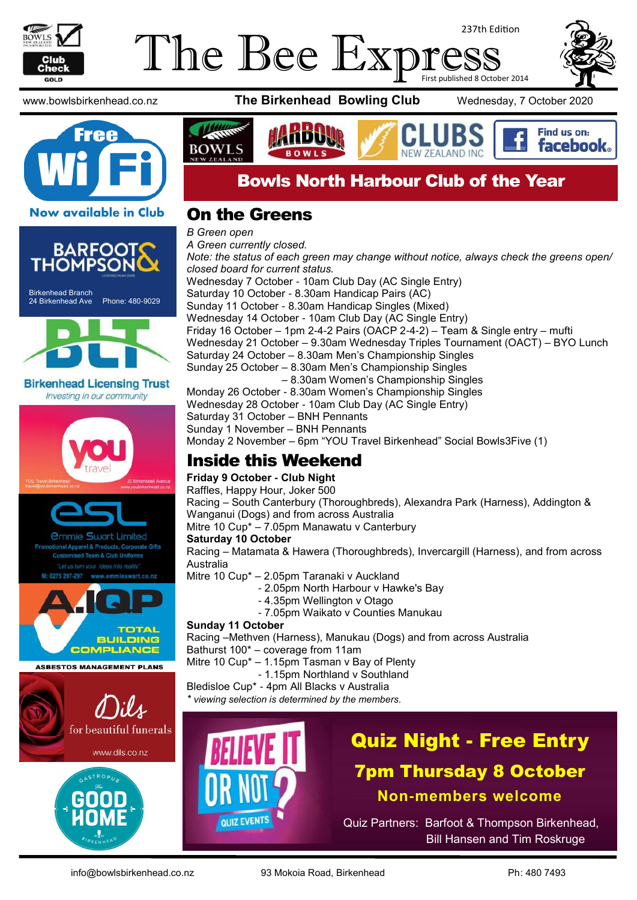

Birkenhead Branch

### The Bee Exp 237th Edition First published 8 October 2014



24 Birkenhead Ave Phone: 480-9029

**Birkenhead Licensing Trust** Investing in our community

> *<u>Ommie Swart Limited</u>* Apparel & Products, Corporate Gifts **Team & Club Uniforms**

**ASBESTOS MANAGEMENT PLANS** 

www.bowlsbirkenhead.co.nz **The Birkenhead Bowling Club** Wednesday, 7 October 2020





## Bowls North Harbour Club of the Year

### On the Greens

*B Green open A Green currently closed. Note: the status of each green may change without notice, always check the greens open/ closed board for current status.* Wednesday 7 October - 10am Club Day (AC Single Entry) Saturday 10 October - 8.30am Handicap Pairs (AC) Sunday 11 October - 8.30am Handicap Singles (Mixed) Wednesday 14 October - 10am Club Day (AC Single Entry) Friday 16 October – 1pm 2-4-2 Pairs (OACP 2-4-2) – Team & Single entry – mufti Wednesday 21 October – 9.30am Wednesday Triples Tournament (OACT) – BYO Lunch Saturday 24 October – 8.30am Men's Championship Singles Sunday 25 October – 8.30am Men's Championship Singles – 8.30am Women's Championship Singles Monday 26 October - 8.30am Women's Championship Singles Wednesday 28 October - 10am Club Day (AC Single Entry) Saturday 31 October – BNH Pennants Sunday 1 November – BNH Pennants Monday 2 November – 6pm "YOU Travel Birkenhead" Social Bowls3Five (1)

## Inside this Weekend

**Friday 9 October - Club Night** Raffles, Happy Hour, Joker 500

Racing – South Canterbury (Thoroughbreds), Alexandra Park (Harness), Addington & Wanganui (Dogs) and from across Australia

Mitre 10 Cup\* – 7.05pm Manawatu v Canterbury

### **Saturday 10 October**

Racing – Matamata & Hawera (Thoroughbreds), Invercargill (Harness), and from across Australia

Mitre 10 Cup\* – 2.05pm Taranaki v Auckland

- 2.05pm North Harbour v Hawke's Bay
- 4.35pm Wellington v Otago
- 7.05pm Waikato v Counties Manukau

### **Sunday 11 October**

Racing –Methven (Harness), Manukau (Dogs) and from across Australia Bathurst 100\* – coverage from 11am

Mitre 10 Cup\* – 1.15pm Tasman v Bay of Plenty

- 1.15pm Northland v Southland

Bledisloe Cup\* - 4pm All Blacks v Australia

*\* viewing selection is determined by the members.*



# Quiz Night - Free Entry 7pm Thursday 8 October **Non-members welcome**

Quiz Partners: Barfoot & Thompson Birkenhead, Bill Hansen and Tim Roskruge

**TOTAL BUILDING COMPLIANCE** 

)ils

for beautiful funerals

www.dils.co.nz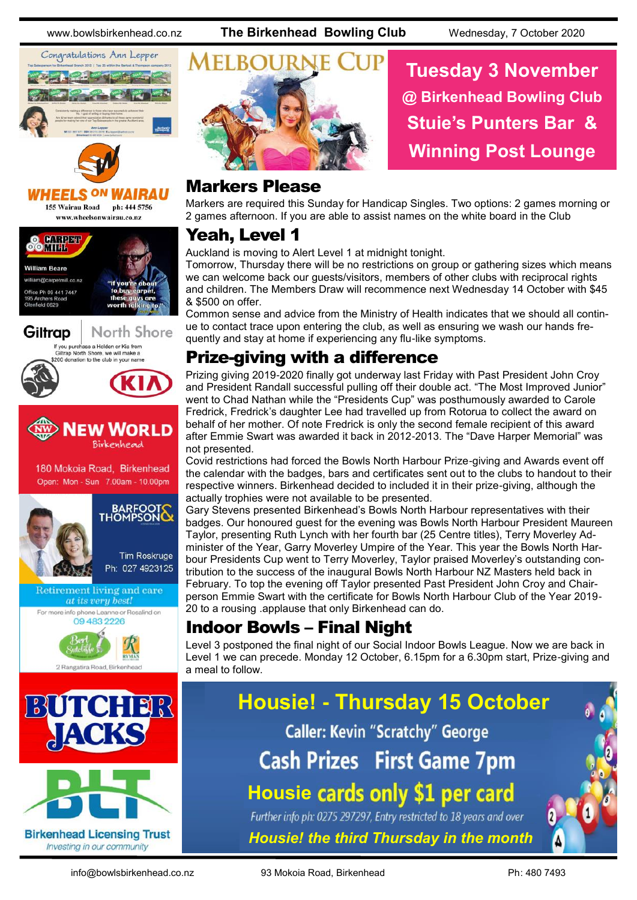www.bowlsbirkenhead.co.nz **The Birkenhead Bowling Club** Wednesday, 7 October 2020

**Tuesday 3 November**

**@ Birkenhead Bowling Club**

**Stuie's Punters Bar &**

**Winning Post Lounge**





#### *IRAU* **HEELS ON**

155 Wairau Road ph: 444 5756 www.wheelsonwairau.co.nz













Investing in our community



### Markers Please

Markers are required this Sunday for Handicap Singles. Two options: 2 games morning or 2 games afternoon. If you are able to assist names on the white board in the Club

### Yeah, Level 1

Auckland is moving to Alert Level 1 at midnight tonight.

Tomorrow, Thursday there will be no restrictions on group or gathering sizes which means we can welcome back our guests/visitors, members of other clubs with reciprocal rights and children. The Members Draw will recommence next Wednesday 14 October with \$45 & \$500 on offer.

Common sense and advice from the Ministry of Health indicates that we should all continue to contact trace upon entering the club, as well as ensuring we wash our hands frequently and stay at home if experiencing any flu-like symptoms.

## Prize-giving with a difference

Prizing giving 2019-2020 finally got underway last Friday with Past President John Croy and President Randall successful pulling off their double act. "The Most Improved Junior" went to Chad Nathan while the "Presidents Cup" was posthumously awarded to Carole Fredrick, Fredrick's daughter Lee had travelled up from Rotorua to collect the award on behalf of her mother. Of note Fredrick is only the second female recipient of this award after Emmie Swart was awarded it back in 2012-2013. The "Dave Harper Memorial" was not presented.

Covid restrictions had forced the Bowls North Harbour Prize-giving and Awards event off the calendar with the badges, bars and certificates sent out to the clubs to handout to their respective winners. Birkenhead decided to included it in their prize-giving, although the actually trophies were not available to be presented.

Gary Stevens presented Birkenhead's Bowls North Harbour representatives with their badges. Our honoured guest for the evening was Bowls North Harbour President Maureen Taylor, presenting Ruth Lynch with her fourth bar (25 Centre titles), Terry Moverley Administer of the Year, Garry Moverley Umpire of the Year. This year the Bowls North Harbour Presidents Cup went to Terry Moverley, Taylor praised Moverley's outstanding contribution to the success of the inaugural Bowls North Harbour NZ Masters held back in February. To top the evening off Taylor presented Past President John Croy and Chairperson Emmie Swart with the certificate for Bowls North Harbour Club of the Year 2019- 20 to a rousing .applause that only Birkenhead can do.

## Indoor Bowls – Final Night

Level 3 postponed the final night of our Social Indoor Bowls League. Now we are back in Level 1 we can precede. Monday 12 October, 6.15pm for a 6.30pm start, Prize-giving and a meal to follow.

# **Housie! - Thursday 15 October Caller: Kevin "Scratchy" George Cash Prizes First Game 7pm Housie cards only \$1 per card** Further info ph: 0275 297297, Entry restricted to 18 years and over

*Housie! the third Thursday in the month*

info@bowlsbirkenhead.co.nz 93 Mokoia Road, Birkenhead Ph: 480 7493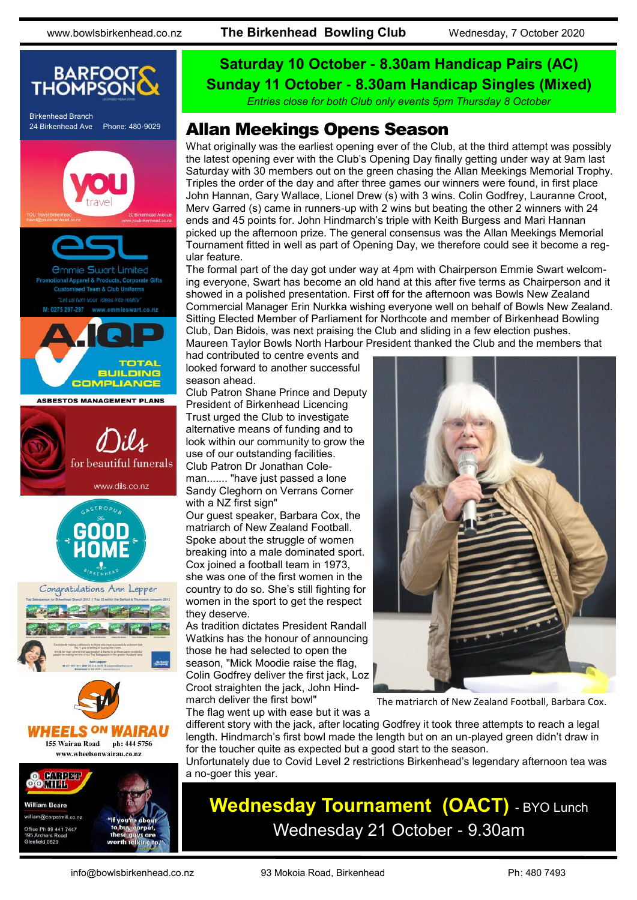www.bowlsbirkenhead.co.nz **The Birkenhead Bowling Club** Wednesday, 7 October 2020



## **Saturday 10 October - 8.30am Handicap Pairs (AC) Sunday 11 October - 8.30am Handicap Singles (Mixed)**

*Entries close for both Club only events 5pm Thursday 8 October*

### 24 Birkenhead Ave Phone: 480-9029 **Allan Meekings Opens Season**

What originally was the earliest opening ever of the Club, at the third attempt was possibly the latest opening ever with the Club's Opening Day finally getting under way at 9am last Saturday with 30 members out on the green chasing the Allan Meekings Memorial Trophy. Triples the order of the day and after three games our winners were found, in first place John Hannan, Gary Wallace, Lionel Drew (s) with 3 wins. Colin Godfrey, Lauranne Croot, Merv Garred (s) came in runners-up with 2 wins but beating the other 2 winners with 24 ends and 45 points for. John Hindmarch's triple with Keith Burgess and Mari Hannan picked up the afternoon prize. The general consensus was the Allan Meekings Memorial Tournament fitted in well as part of Opening Day, we therefore could see it become a regular feature.

The formal part of the day got under way at 4pm with Chairperson Emmie Swart welcoming everyone, Swart has become an old hand at this after five terms as Chairperson and it showed in a polished presentation. First off for the afternoon was Bowls New Zealand Commercial Manager Erin Nurkka wishing everyone well on behalf of Bowls New Zealand. Sitting Elected Member of Parliament for Northcote and member of Birkenhead Bowling Club, Dan Bidois, was next praising the Club and sliding in a few election pushes. Maureen Taylor Bowls North Harbour President thanked the Club and the members that

had contributed to centre events and looked forward to another successful season ahead.

Club Patron Shane Prince and Deputy President of Birkenhead Licencing Trust urged the Club to investigate alternative means of funding and to look within our community to grow the use of our outstanding facilities. Club Patron Dr Jonathan Coleman....... "have just passed a lone Sandy Cleghorn on Verrans Corner

with a NZ first sign"

Our guest speaker, Barbara Cox, the matriarch of New Zealand Football. Spoke about the struggle of women breaking into a male dominated sport. Cox joined a football team in 1973, she was one of the first women in the country to do so. She's still fighting for women in the sport to get the respect they deserve.

As tradition dictates President Randall Watkins has the honour of announcing those he had selected to open the season, "Mick Moodie raise the flag, Colin Godfrey deliver the first jack, Loz Croot straighten the jack, John Hindmarch deliver the first bowl"

The flag went up with ease but it was a



The matriarch of New Zealand Football, Barbara Cox.

different story with the jack, after locating Godfrey it took three attempts to reach a legal length. Hindmarch's first bowl made the length but on an un-played green didn't draw in for the toucher quite as expected but a good start to the season.

Unfortunately due to Covid Level 2 restrictions Birkenhead's legendary afternoon tea was a no-goer this year.

## **Wednesday Tournament (OACT)** - BYO Lunch Wednesday 21 October - 9.30am

e Ph 09 441 7447 eld OR20